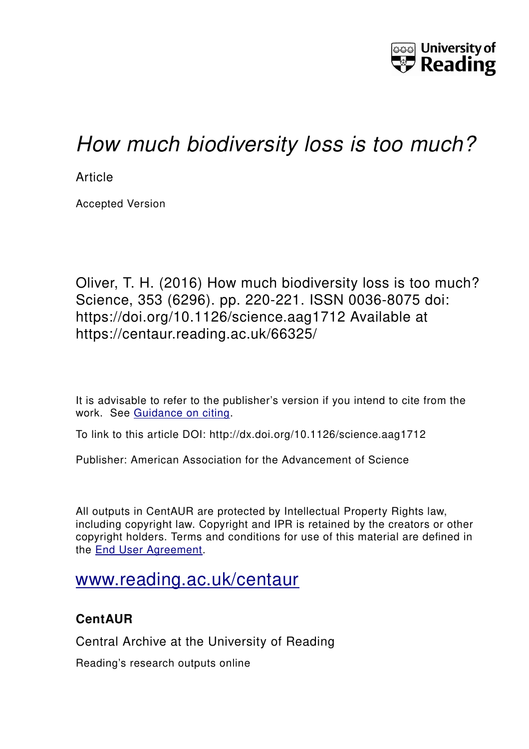

# *How much biodiversity loss is too much?*

**Article** 

Accepted Version

Oliver, T. H. (2016) How much biodiversity loss is too much? Science, 353 (6296). pp. 220-221. ISSN 0036-8075 doi: https://doi.org/10.1126/science.aag1712 Available at https://centaur.reading.ac.uk/66325/

It is advisable to refer to the publisher's version if you intend to cite from the work. See [Guidance on citing.](http://centaur.reading.ac.uk/71187/10/CentAUR%20citing%20guide.pdf)

To link to this article DOI: http://dx.doi.org/10.1126/science.aag1712

Publisher: American Association for the Advancement of Science

All outputs in CentAUR are protected by Intellectual Property Rights law, including copyright law. Copyright and IPR is retained by the creators or other copyright holders. Terms and conditions for use of this material are defined in the [End User Agreement.](http://centaur.reading.ac.uk/licence)

# [www.reading.ac.uk/centaur](http://www.reading.ac.uk/centaur)

# **CentAUR**

Central Archive at the University of Reading

Reading's research outputs online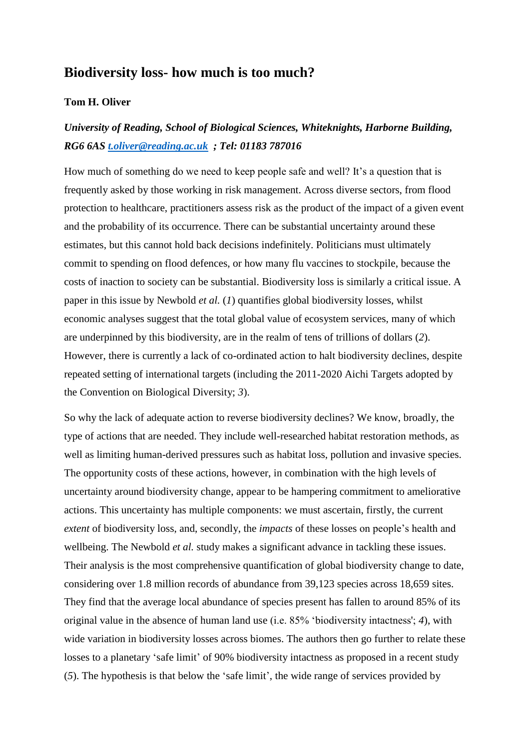### **Biodiversity loss- how much is too much?**

#### **Tom H. Oliver**

## *University of Reading, School of Biological Sciences, Whiteknights, Harborne Building, RG6 6AS [t.oliver@reading.ac.uk](mailto:t.oliver@reading.ac.uk) ; Tel: 01183 787016*

How much of something do we need to keep people safe and well? It's a question that is frequently asked by those working in risk management. Across diverse sectors, from flood protection to healthcare, practitioners assess risk as the product of the impact of a given event and the probability of its occurrence. There can be substantial uncertainty around these estimates, but this cannot hold back decisions indefinitely. Politicians must ultimately commit to spending on flood defences, or how many flu vaccines to stockpile, because the costs of inaction to society can be substantial. Biodiversity loss is similarly a critical issue. A paper in this issue by Newbold *et al.* (*1*) quantifies global biodiversity losses, whilst economic analyses suggest that the total global value of ecosystem services, many of which are underpinned by this biodiversity, are in the realm of tens of trillions of dollars (*2*). However, there is currently a lack of co-ordinated action to halt biodiversity declines, despite repeated setting of international targets (including the 2011-2020 Aichi Targets adopted by the Convention on Biological Diversity; *3*).

So why the lack of adequate action to reverse biodiversity declines? We know, broadly, the type of actions that are needed. They include well-researched habitat restoration methods, as well as limiting human-derived pressures such as habitat loss, pollution and invasive species. The opportunity costs of these actions, however, in combination with the high levels of uncertainty around biodiversity change, appear to be hampering commitment to ameliorative actions. This uncertainty has multiple components: we must ascertain, firstly, the current *extent* of biodiversity loss, and, secondly, the *impacts* of these losses on people's health and wellbeing. The Newbold *et al.* study makes a significant advance in tackling these issues. Their analysis is the most comprehensive quantification of global biodiversity change to date, considering over 1.8 million records of abundance from 39,123 species across 18,659 sites. They find that the average local abundance of species present has fallen to around 85% of its original value in the absence of human land use (i.e. 85% 'biodiversity intactness'; *4*), with wide variation in biodiversity losses across biomes. The authors then go further to relate these losses to a planetary 'safe limit' of 90% biodiversity intactness as proposed in a recent study (*5*). The hypothesis is that below the 'safe limit', the wide range of services provided by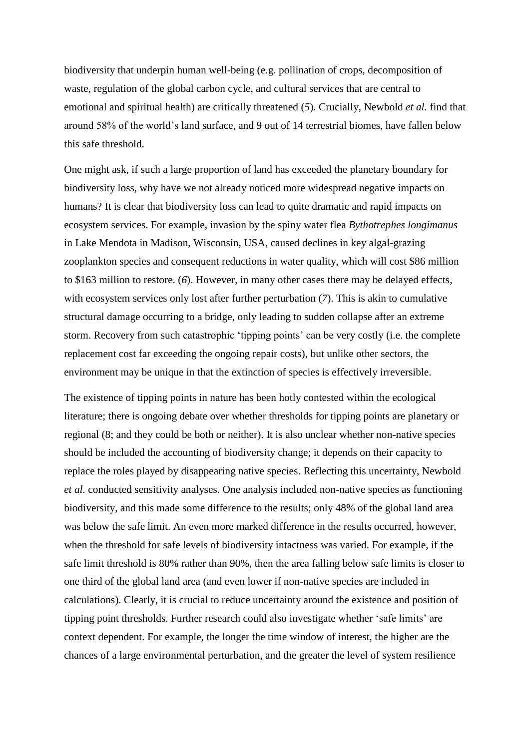biodiversity that underpin human well-being (e.g. pollination of crops, decomposition of waste, regulation of the global carbon cycle, and cultural services that are central to emotional and spiritual health) are critically threatened (*5*). Crucially, Newbold *et al.* find that around 58% of the world's land surface, and 9 out of 14 terrestrial biomes, have fallen below this safe threshold.

One might ask, if such a large proportion of land has exceeded the planetary boundary for biodiversity loss, why have we not already noticed more widespread negative impacts on humans? It is clear that biodiversity loss can lead to quite dramatic and rapid impacts on ecosystem services. For example, invasion by the spiny water flea *Bythotrephes longimanus*  in Lake Mendota in Madison, Wisconsin, USA, caused declines in key algal-grazing zooplankton species and consequent reductions in water quality, which will cost \$86 million to \$163 million to restore. (*6*). However, in many other cases there may be delayed effects, with ecosystem services only lost after further perturbation (*7*). This is akin to cumulative structural damage occurring to a bridge, only leading to sudden collapse after an extreme storm. Recovery from such catastrophic 'tipping points' can be very costly (i.e. the complete replacement cost far exceeding the ongoing repair costs), but unlike other sectors, the environment may be unique in that the extinction of species is effectively irreversible.

The existence of tipping points in nature has been hotly contested within the ecological literature; there is ongoing debate over whether thresholds for tipping points are planetary or regional (8; and they could be both or neither). It is also unclear whether non-native species should be included the accounting of biodiversity change; it depends on their capacity to replace the roles played by disappearing native species. Reflecting this uncertainty, Newbold *et al.* conducted sensitivity analyses. One analysis included non-native species as functioning biodiversity, and this made some difference to the results; only 48% of the global land area was below the safe limit. An even more marked difference in the results occurred, however, when the threshold for safe levels of biodiversity intactness was varied. For example, if the safe limit threshold is 80% rather than 90%, then the area falling below safe limits is closer to one third of the global land area (and even lower if non-native species are included in calculations). Clearly, it is crucial to reduce uncertainty around the existence and position of tipping point thresholds. Further research could also investigate whether 'safe limits' are context dependent. For example, the longer the time window of interest, the higher are the chances of a large environmental perturbation, and the greater the level of system resilience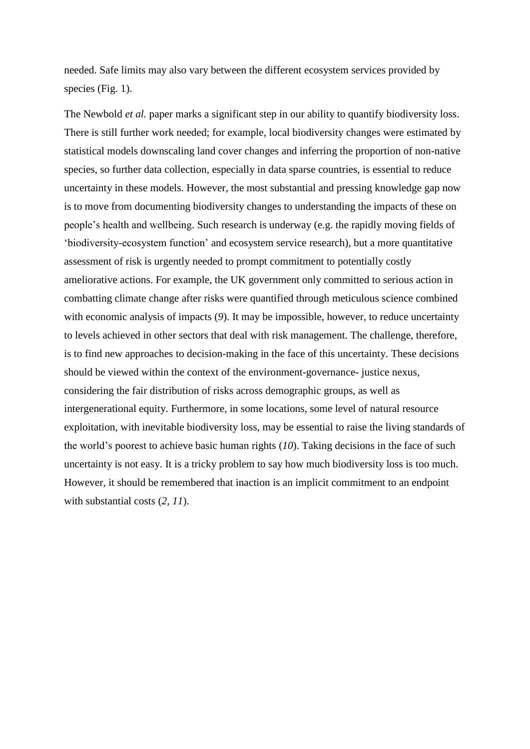needed. Safe limits may also vary between the different ecosystem services provided by species (Fig. 1).

The Newbold *et al.* paper marks a significant step in our ability to quantify biodiversity loss. There is still further work needed; for example, local biodiversity changes were estimated by statistical models downscaling land cover changes and inferring the proportion of non-native species, so further data collection, especially in data sparse countries, is essential to reduce uncertainty in these models. However, the most substantial and pressing knowledge gap now is to move from documenting biodiversity changes to understanding the impacts of these on people's health and wellbeing. Such research is underway (e.g. the rapidly moving fields of 'biodiversity-ecosystem function' and ecosystem service research), but a more quantitative assessment of risk is urgently needed to prompt commitment to potentially costly ameliorative actions. For example, the UK government only committed to serious action in combatting climate change after risks were quantified through meticulous science combined with economic analysis of impacts (*9*). It may be impossible, however, to reduce uncertainty to levels achieved in other sectors that deal with risk management. The challenge, therefore, is to find new approaches to decision-making in the face of this uncertainty. These decisions should be viewed within the context of the environment-governance- justice nexus, considering the fair distribution of risks across demographic groups, as well as intergenerational equity. Furthermore, in some locations, some level of natural resource exploitation, with inevitable biodiversity loss, may be essential to raise the living standards of the world's poorest to achieve basic human rights (*10*). Taking decisions in the face of such uncertainty is not easy. It is a tricky problem to say how much biodiversity loss is too much. However, it should be remembered that inaction is an implicit commitment to an endpoint with substantial costs (*2, 11*).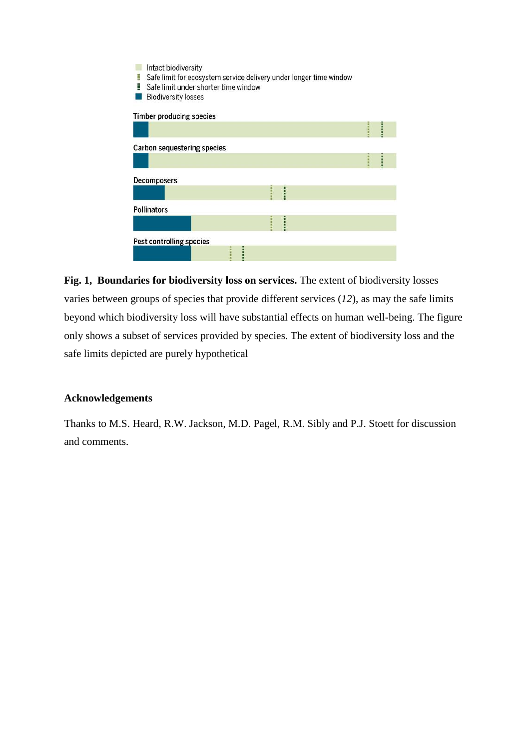| Intact biodiversity<br>Safe limit for ecosystem service delivery under longer time window<br>į<br>i<br>Safe limit under shorter time window<br><b>Biodiversity losses</b> |  |
|---------------------------------------------------------------------------------------------------------------------------------------------------------------------------|--|
| <b>Timber producing species</b>                                                                                                                                           |  |
|                                                                                                                                                                           |  |
| Carbon sequestering species                                                                                                                                               |  |
|                                                                                                                                                                           |  |
| Decomposers                                                                                                                                                               |  |
|                                                                                                                                                                           |  |
| <b>Pollinators</b>                                                                                                                                                        |  |
|                                                                                                                                                                           |  |
| Pest controlling species                                                                                                                                                  |  |
|                                                                                                                                                                           |  |

**Fig. 1, Boundaries for biodiversity loss on services.** The extent of biodiversity losses varies between groups of species that provide different services (*12*), as may the safe limits beyond which biodiversity loss will have substantial effects on human well-being. The figure only shows a subset of services provided by species. The extent of biodiversity loss and the safe limits depicted are purely hypothetical

#### **Acknowledgements**

Thanks to M.S. Heard, R.W. Jackson, M.D. Pagel, R.M. Sibly and P.J. Stoett for discussion and comments.